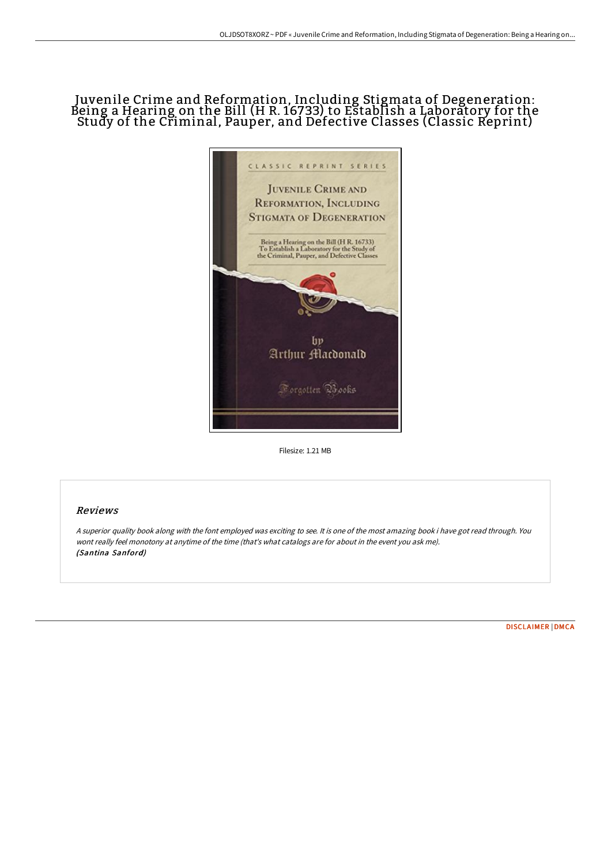# Juvenile Crime and Reformation, Including Stigmata of Degeneration: Being a Hearing on the Bill (H R. 16733) to Establish a Laboratory for the Study of the Criminal, Pauper, and Defective Classes (Classic Reprint)



Filesize: 1.21 MB

## Reviews

<sup>A</sup> superior quality book along with the font employed was exciting to see. It is one of the most amazing book i have got read through. You wont really feel monotony at anytime of the time (that's what catalogs are for about in the event you ask me). (Santina Sanford)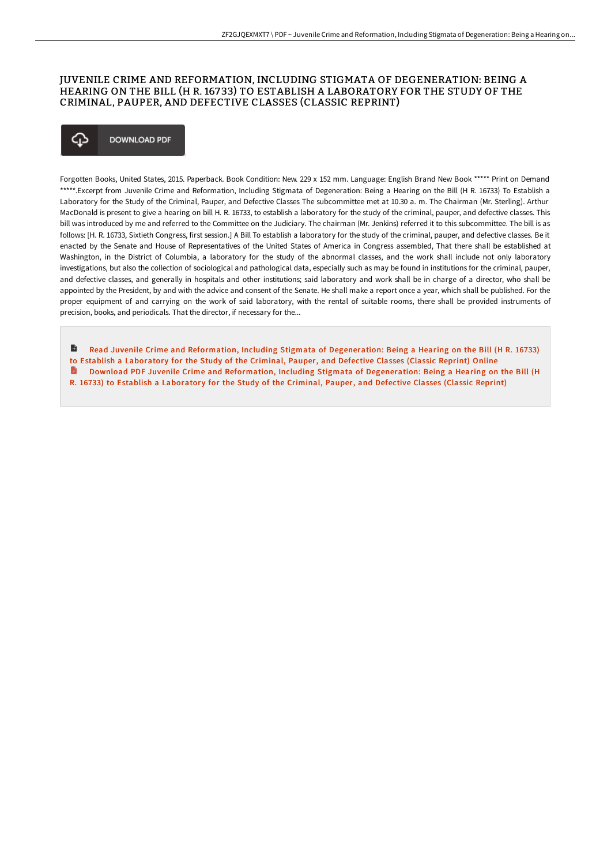## JUVENILE CRIME AND REFORMATION, INCLUDING STIGMATA OF DEGENERATION: BEING A HEARING ON THE BILL (H R. 16733) TO ESTABLISH A LABORATORY FOR THE STUDY OF THE CRIMINAL, PAUPER, AND DEFECTIVE CLASSES (CLASSIC REPRINT)

### ঞ **DOWNLOAD PDF**

Forgotten Books, United States, 2015. Paperback. Book Condition: New. 229 x 152 mm. Language: English Brand New Book \*\*\*\*\* Print on Demand \*\*\*\*\*.Excerpt from Juvenile Crime and Reformation, Including Stigmata of Degeneration: Being a Hearing on the Bill (H R. 16733) To Establish a Laboratory for the Study of the Criminal, Pauper, and Defective Classes The subcommittee met at 10.30 a. m. The Chairman (Mr. Sterling). Arthur MacDonald is present to give a hearing on bill H. R. 16733, to establish a laboratory for the study of the criminal, pauper, and defective classes. This bill was introduced by me and referred to the Committee on the Judiciary. The chairman (Mr. Jenkins) referred it to this subcommittee. The bill is as follows: [H. R. 16733, Sixtieth Congress, first session.] A Bill To establish a laboratory for the study of the criminal, pauper, and defective classes. Be it enacted by the Senate and House of Representatives of the United States of America in Congress assembled, That there shall be established at Washington, in the District of Columbia, a laboratory for the study of the abnormal classes, and the work shall include not only laboratory investigations, but also the collection of sociological and pathological data, especially such as may be found in institutions for the criminal, pauper, and defective classes, and generally in hospitals and other institutions; said laboratory and work shall be in charge of a director, who shall be appointed by the President, by and with the advice and consent of the Senate. He shall make a report once a year, which shall be published. For the proper equipment of and carrying on the work of said laboratory, with the rental of suitable rooms, there shall be provided instruments of precision, books, and periodicals. That the director, if necessary for the...

Read Juvenile Crime and Reformation, Including Stigmata of [Degeneration:](http://www.bookdirs.com/juvenile-crime-and-reformation-including-stigmat.html) Being a Hearing on the Bill (H R. 16733) to Establish a Laboratory for the Study of the Criminal, Pauper, and Defective Classes (Classic Reprint) Online Download PDF Juvenile Crime and Reformation, Including Stigmata of [Degeneration:](http://www.bookdirs.com/juvenile-crime-and-reformation-including-stigmat.html) Being a Hearing on the Bill (H R. 16733) to Establish a Laboratory for the Study of the Criminal, Pauper, and Defective Classes (Classic Reprint)